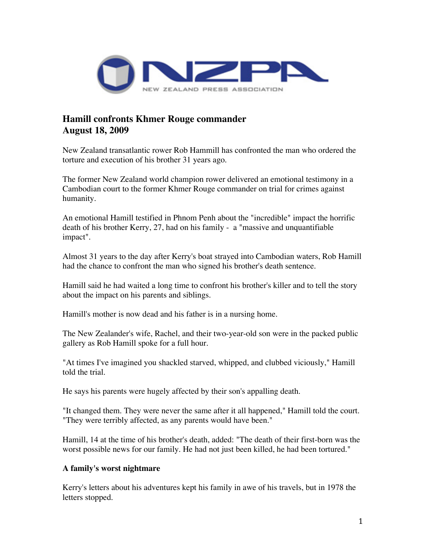

## **Hamill confronts Khmer Rouge commander August 18, 2009**

New Zealand transatlantic rower Rob Hammill has confronted the man who ordered the torture and execution of his brother 31 years ago.

The former New Zealand world champion rower delivered an emotional testimony in a Cambodian court to the former Khmer Rouge commander on trial for crimes against humanity.

An emotional Hamill testified in Phnom Penh about the "incredible" impact the horrific death of his brother Kerry, 27, had on his family - a "massive and unquantifiable impact".

Almost 31 years to the day after Kerry's boat strayed into Cambodian waters, Rob Hamill had the chance to confront the man who signed his brother's death sentence.

Hamill said he had waited a long time to confront his brother's killer and to tell the story about the impact on his parents and siblings.

Hamill's mother is now dead and his father is in a nursing home.

The New Zealander's wife, Rachel, and their two-year-old son were in the packed public gallery as Rob Hamill spoke for a full hour.

"At times I've imagined you shackled starved, whipped, and clubbed viciously," Hamill told the trial.

He says his parents were hugely affected by their son's appalling death.

"It changed them. They were never the same after it all happened," Hamill told the court. "They were terribly affected, as any parents would have been."

Hamill, 14 at the time of his brother's death, added: "The death of their first-born was the worst possible news for our family. He had not just been killed, he had been tortured."

## **A family's worst nightmare**

Kerry's letters about his adventures kept his family in awe of his travels, but in 1978 the letters stopped.